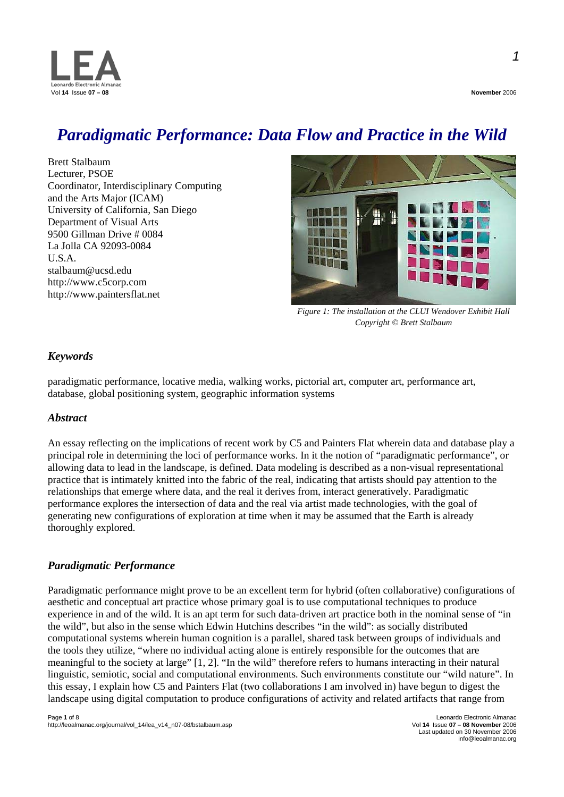

## *Paradigmatic Performance: Data Flow and Practice in the Wild*

Brett Stalbaum Lecturer, PSOE Coordinator, Interdisciplinary Computing and the Arts Major (ICAM) University of California, San Diego Department of Visual Arts 9500 Gillman Drive # 0084 La Jolla CA 92093-0084 U.S.A. stalbaum@ucsd.edu http://www.c5corp.com http://www.paintersflat.net



*Figure 1: The installation at the CLUI Wendover Exhibit Hall Copyright © Brett Stalbaum* 

## *Keywords*

paradigmatic performance, locative media, walking works, pictorial art, computer art, performance art, database, global positioning system, geographic information systems

#### *Abstract*

An essay reflecting on the implications of recent work by C5 and Painters Flat wherein data and database play a principal role in determining the loci of performance works. In it the notion of "paradigmatic performance", or allowing data to lead in the landscape, is defined. Data modeling is described as a non-visual representational practice that is intimately knitted into the fabric of the real, indicating that artists should pay attention to the relationships that emerge where data, and the real it derives from, interact generatively. Paradigmatic performance explores the intersection of data and the real via artist made technologies, with the goal of generating new configurations of exploration at time when it may be assumed that the Earth is already thoroughly explored.

### *Paradigmatic Performance*

Paradigmatic performance might prove to be an excellent term for hybrid (often collaborative) configurations of aesthetic and conceptual art practice whose primary goal is to use computational techniques to produce experience in and of the wild. It is an apt term for such data-driven art practice both in the nominal sense of "in the wild", but also in the sense which Edwin Hutchins describes "in the wild": as socially distributed computational systems wherein human cognition is a parallel, shared task between groups of individuals and the tools they utilize, "where no individual acting alone is entirely responsible for the outcomes that are meaningful to the society at large" [1, 2]. "In the wild" therefore refers to humans interacting in their natural linguistic, semiotic, social and computational environments. Such environments constitute our "wild nature". In this essay, I explain how C5 and Painters Flat (two collaborations I am involved in) have begun to digest the landscape using digital computation to produce configurations of activity and related artifacts that range from

Last updated on 30 November 2006 info@leoalmanac.org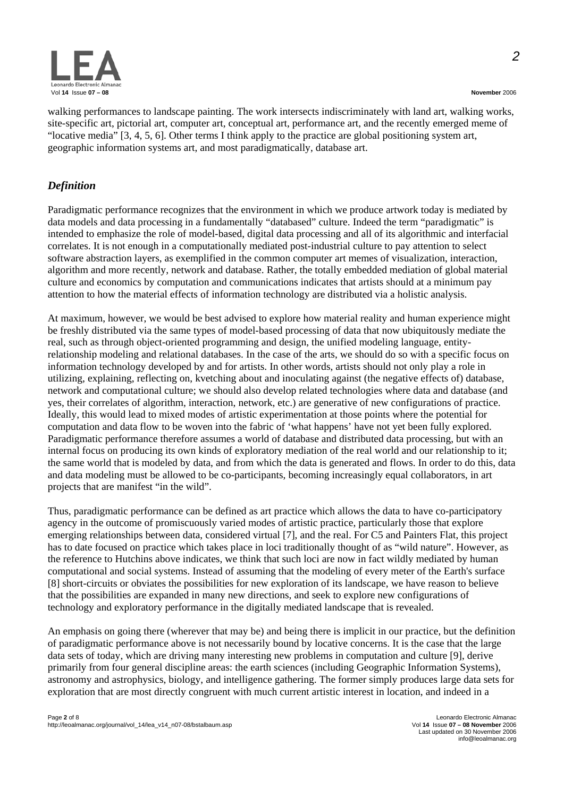

*2*

walking performances to landscape painting. The work intersects indiscriminately with land art, walking works, site-specific art, pictorial art, computer art, conceptual art, performance art, and the recently emerged meme of "locative media" [3, 4, 5, 6]. Other terms I think apply to the practice are global positioning system art, geographic information systems art, and most paradigmatically, database art.

## *Definition*

Paradigmatic performance recognizes that the environment in which we produce artwork today is mediated by data models and data processing in a fundamentally "databased" culture. Indeed the term "paradigmatic" is intended to emphasize the role of model-based, digital data processing and all of its algorithmic and interfacial correlates. It is not enough in a computationally mediated post-industrial culture to pay attention to select software abstraction layers, as exemplified in the common computer art memes of visualization, interaction, algorithm and more recently, network and database. Rather, the totally embedded mediation of global material culture and economics by computation and communications indicates that artists should at a minimum pay attention to how the material effects of information technology are distributed via a holistic analysis.

At maximum, however, we would be best advised to explore how material reality and human experience might be freshly distributed via the same types of model-based processing of data that now ubiquitously mediate the real, such as through object-oriented programming and design, the unified modeling language, entityrelationship modeling and relational databases. In the case of the arts, we should do so with a specific focus on information technology developed by and for artists. In other words, artists should not only play a role in utilizing, explaining, reflecting on, kvetching about and inoculating against (the negative effects of) database, network and computational culture; we should also develop related technologies where data and database (and yes, their correlates of algorithm, interaction, network, etc.) are generative of new configurations of practice. Ideally, this would lead to mixed modes of artistic experimentation at those points where the potential for computation and data flow to be woven into the fabric of 'what happens' have not yet been fully explored. Paradigmatic performance therefore assumes a world of database and distributed data processing, but with an internal focus on producing its own kinds of exploratory mediation of the real world and our relationship to it; the same world that is modeled by data, and from which the data is generated and flows. In order to do this, data and data modeling must be allowed to be co-participants, becoming increasingly equal collaborators, in art projects that are manifest "in the wild".

Thus, paradigmatic performance can be defined as art practice which allows the data to have co-participatory agency in the outcome of promiscuously varied modes of artistic practice, particularly those that explore emerging relationships between data, considered virtual [7], and the real. For C5 and Painters Flat, this project has to date focused on practice which takes place in loci traditionally thought of as "wild nature". However, as the reference to Hutchins above indicates, we think that such loci are now in fact wildly mediated by human computational and social systems. Instead of assuming that the modeling of every meter of the Earth's surface [8] short-circuits or obviates the possibilities for new exploration of its landscape, we have reason to believe that the possibilities are expanded in many new directions, and seek to explore new configurations of technology and exploratory performance in the digitally mediated landscape that is revealed.

An emphasis on going there (wherever that may be) and being there is implicit in our practice, but the definition of paradigmatic performance above is not necessarily bound by locative concerns. It is the case that the large data sets of today, which are driving many interesting new problems in computation and culture [9], derive primarily from four general discipline areas: the earth sciences (including Geographic Information Systems), astronomy and astrophysics, biology, and intelligence gathering. The former simply produces large data sets for exploration that are most directly congruent with much current artistic interest in location, and indeed in a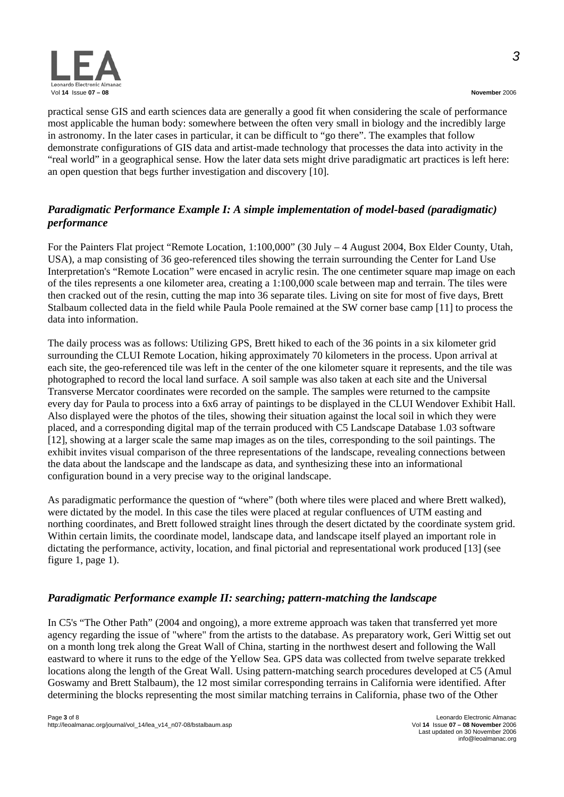practical sense GIS and earth sciences data are generally a good fit when considering the scale of performance most applicable the human body: somewhere between the often very small in biology and the incredibly large in astronomy. In the later cases in particular, it can be difficult to "go there". The examples that follow demonstrate configurations of GIS data and artist-made technology that processes the data into activity in the "real world" in a geographical sense. How the later data sets might drive paradigmatic art practices is left here: an open question that begs further investigation and discovery [10].

## *Paradigmatic Performance Example I: A simple implementation of model-based (paradigmatic) performance*

For the Painters Flat project "Remote Location, 1:100,000" (30 July – 4 August 2004, Box Elder County, Utah, USA), a map consisting of 36 geo-referenced tiles showing the terrain surrounding the Center for Land Use Interpretation's "Remote Location" were encased in acrylic resin. The one centimeter square map image on each of the tiles represents a one kilometer area, creating a 1:100,000 scale between map and terrain. The tiles were then cracked out of the resin, cutting the map into 36 separate tiles. Living on site for most of five days, Brett Stalbaum collected data in the field while Paula Poole remained at the SW corner base camp [11] to process the data into information.

The daily process was as follows: Utilizing GPS, Brett hiked to each of the 36 points in a six kilometer grid surrounding the CLUI Remote Location, hiking approximately 70 kilometers in the process. Upon arrival at each site, the geo-referenced tile was left in the center of the one kilometer square it represents, and the tile was photographed to record the local land surface. A soil sample was also taken at each site and the Universal Transverse Mercator coordinates were recorded on the sample. The samples were returned to the campsite every day for Paula to process into a 6x6 array of paintings to be displayed in the CLUI Wendover Exhibit Hall. Also displayed were the photos of the tiles, showing their situation against the local soil in which they were placed, and a corresponding digital map of the terrain produced with C5 Landscape Database 1.03 software [12], showing at a larger scale the same map images as on the tiles, corresponding to the soil paintings. The exhibit invites visual comparison of the three representations of the landscape, revealing connections between the data about the landscape and the landscape as data, and synthesizing these into an informational configuration bound in a very precise way to the original landscape.

As paradigmatic performance the question of "where" (both where tiles were placed and where Brett walked), were dictated by the model. In this case the tiles were placed at regular confluences of UTM easting and northing coordinates, and Brett followed straight lines through the desert dictated by the coordinate system grid. Within certain limits, the coordinate model, landscape data, and landscape itself played an important role in dictating the performance, activity, location, and final pictorial and representational work produced [13] (see figure 1, page 1).

## *Paradigmatic Performance example II: searching; pattern-matching the landscape*

In C5's "The Other Path" (2004 and ongoing), a more extreme approach was taken that transferred yet more agency regarding the issue of "where" from the artists to the database. As preparatory work, Geri Wittig set out on a month long trek along the Great Wall of China, starting in the northwest desert and following the Wall eastward to where it runs to the edge of the Yellow Sea. GPS data was collected from twelve separate trekked locations along the length of the Great Wall. Using pattern-matching search procedures developed at C5 (Amul Goswamy and Brett Stalbaum), the 12 most similar corresponding terrains in California were identified. After determining the blocks representing the most similar matching terrains in California, phase two of the Other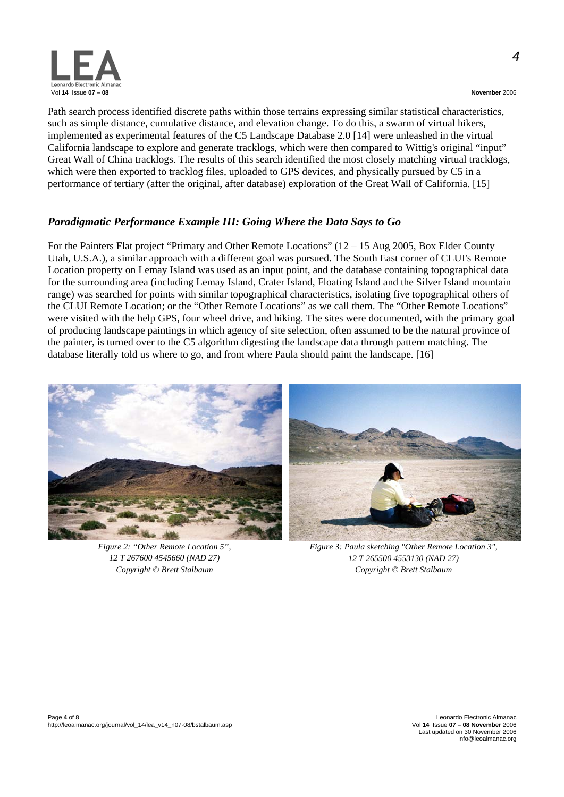

*4*

Path search process identified discrete paths within those terrains expressing similar statistical characteristics, such as simple distance, cumulative distance, and elevation change. To do this, a swarm of virtual hikers, implemented as experimental features of the C5 Landscape Database 2.0 [14] were unleashed in the virtual California landscape to explore and generate tracklogs, which were then compared to Wittig's original "input" Great Wall of China tracklogs. The results of this search identified the most closely matching virtual tracklogs, which were then exported to tracklog files, uploaded to GPS devices, and physically pursued by C5 in a performance of tertiary (after the original, after database) exploration of the Great Wall of California. [15]

## *Paradigmatic Performance Example III: Going Where the Data Says to Go*

For the Painters Flat project "Primary and Other Remote Locations" (12 – 15 Aug 2005, Box Elder County Utah, U.S.A.), a similar approach with a different goal was pursued. The South East corner of CLUI's Remote Location property on Lemay Island was used as an input point, and the database containing topographical data for the surrounding area (including Lemay Island, Crater Island, Floating Island and the Silver Island mountain range) was searched for points with similar topographical characteristics, isolating five topographical others of the CLUI Remote Location; or the "Other Remote Locations" as we call them. The "Other Remote Locations" were visited with the help GPS, four wheel drive, and hiking. The sites were documented, with the primary goal of producing landscape paintings in which agency of site selection, often assumed to be the natural province of the painter, is turned over to the C5 algorithm digesting the landscape data through pattern matching. The database literally told us where to go, and from where Paula should paint the landscape. [16]



*Figure 2: "Other Remote Location 5", 12 T 267600 4545660 (NAD 27) Copyright © Brett Stalbaum* 



*Figure 3: Paula sketching "Other Remote Location 3", 12 T 265500 4553130 (NAD 27) Copyright © Brett Stalbaum*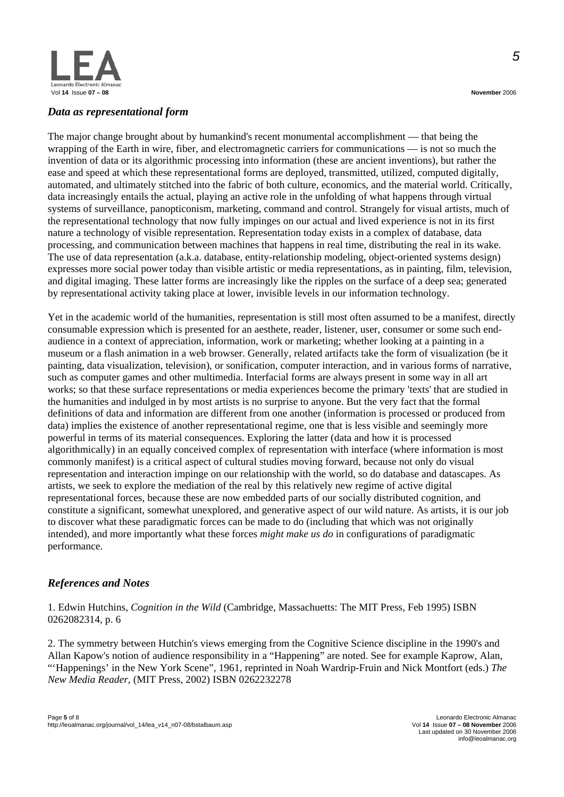

### *Data as representational form*

The major change brought about by humankind's recent monumental accomplishment — that being the wrapping of the Earth in wire, fiber, and electromagnetic carriers for communications — is not so much the invention of data or its algorithmic processing into information (these are ancient inventions), but rather the ease and speed at which these representational forms are deployed, transmitted, utilized, computed digitally, automated, and ultimately stitched into the fabric of both culture, economics, and the material world. Critically, data increasingly entails the actual, playing an active role in the unfolding of what happens through virtual systems of surveillance, panopticonism, marketing, command and control. Strangely for visual artists, much of the representational technology that now fully impinges on our actual and lived experience is not in its first nature a technology of visible representation. Representation today exists in a complex of database, data processing, and communication between machines that happens in real time, distributing the real in its wake. The use of data representation (a.k.a. database, entity-relationship modeling, object-oriented systems design) expresses more social power today than visible artistic or media representations, as in painting, film, television, and digital imaging. These latter forms are increasingly like the ripples on the surface of a deep sea; generated by representational activity taking place at lower, invisible levels in our information technology.

Yet in the academic world of the humanities, representation is still most often assumed to be a manifest, directly consumable expression which is presented for an aesthete, reader, listener, user, consumer or some such endaudience in a context of appreciation, information, work or marketing; whether looking at a painting in a museum or a flash animation in a web browser. Generally, related artifacts take the form of visualization (be it painting, data visualization, television), or sonification, computer interaction, and in various forms of narrative, such as computer games and other multimedia. Interfacial forms are always present in some way in all art works; so that these surface representations or media experiences become the primary 'texts' that are studied in the humanities and indulged in by most artists is no surprise to anyone. But the very fact that the formal definitions of data and information are different from one another (information is processed or produced from data) implies the existence of another representational regime, one that is less visible and seemingly more powerful in terms of its material consequences. Exploring the latter (data and how it is processed algorithmically) in an equally conceived complex of representation with interface (where information is most commonly manifest) is a critical aspect of cultural studies moving forward, because not only do visual representation and interaction impinge on our relationship with the world, so do database and datascapes. As artists, we seek to explore the mediation of the real by this relatively new regime of active digital representational forces, because these are now embedded parts of our socially distributed cognition, and constitute a significant, somewhat unexplored, and generative aspect of our wild nature. As artists, it is our job to discover what these paradigmatic forces can be made to do (including that which was not originally intended), and more importantly what these forces *might make us do* in configurations of paradigmatic performance.

## *References and Notes*

1. Edwin Hutchins, *Cognition in the Wild* (Cambridge, Massachuetts: The MIT Press, Feb 1995) ISBN 0262082314, p. 6

2. The symmetry between Hutchin's views emerging from the Cognitive Science discipline in the 1990's and Allan Kapow's notion of audience responsibility in a "Happening" are noted. See for example Kaprow, Alan, "'Happenings' in the New York Scene", 1961, reprinted in Noah Wardrip-Fruin and Nick Montfort (eds.) *The New Media Reader*, (MIT Press, 2002) ISBN 0262232278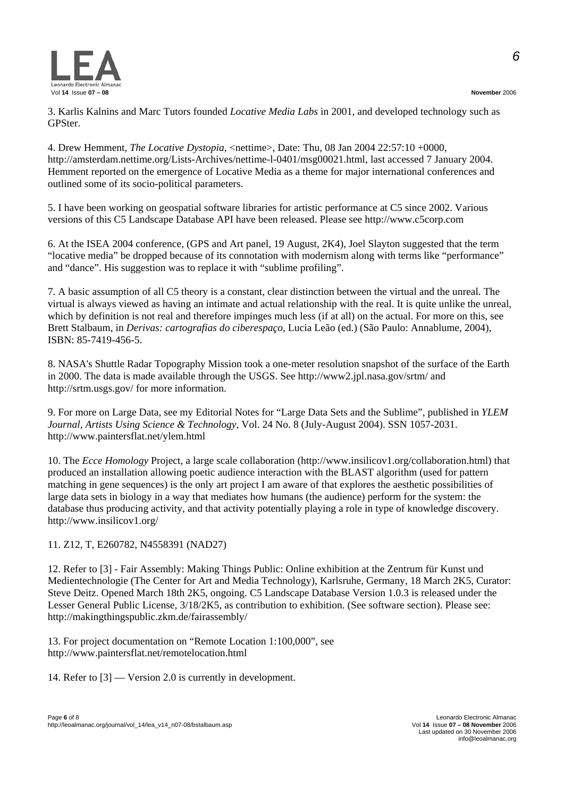*6*



3. Karlis Kalnins and Marc Tutors founded *Locative Media Labs* in 2001, and developed technology such as GPSter.

4. Drew Hemment, *The Locative Dystopia*, <nettime>, Date: Thu, 08 Jan 2004 22:57:10 +0000, http://amsterdam.nettime.org/Lists-Archives/nettime-l-0401/msg00021.html, last accessed 7 January 2004. Hemment reported on the emergence of Locative Media as a theme for major international conferences and outlined some of its socio-political parameters.

5. I have been working on geospatial software libraries for artistic performance at C5 since 2002. Various versions of this C5 Landscape Database API have been released. Please see http://www.c5corp.com

6. At the ISEA 2004 conference, (GPS and Art panel, 19 August, 2K4), Joel Slayton suggested that the term "locative media" be dropped because of its connotation with modernism along with terms like "performance" and "dance". His suggestion was to replace it with "sublime profiling".

7. A basic assumption of all C5 theory is a constant, clear distinction between the virtual and the unreal. The virtual is always viewed as having an intimate and actual relationship with the real. It is quite unlike the unreal, which by definition is not real and therefore impinges much less (if at all) on the actual. For more on this, see Brett Stalbaum, in *Derivas: cartografias do ciberespaço*, Lucia Leão (ed.) (São Paulo: Annablume, 2004), ISBN: 85-7419-456-5.

8. NASA's Shuttle Radar Topography Mission took a one-meter resolution snapshot of the surface of the Earth in 2000. The data is made available through the USGS. See http://www2.jpl.nasa.gov/srtm/ and http://srtm.usgs.gov/ for more information.

9. For more on Large Data, see my Editorial Notes for "Large Data Sets and the Sublime", published in *YLEM Journal, Artists Using Science & Technology*, Vol. 24 No. 8 (July-August 2004). SSN 1057-2031. http://www.paintersflat.net/ylem.html

10. The *Ecce Homology* Project, a large scale collaboration (http://www.insilicov1.org/collaboration.html) that produced an installation allowing poetic audience interaction with the BLAST algorithm (used for pattern matching in gene sequences) is the only art project I am aware of that explores the aesthetic possibilities of large data sets in biology in a way that mediates how humans (the audience) perform for the system: the database thus producing activity, and that activity potentially playing a role in type of knowledge discovery. http://www.insilicov1.org/

## 11. Z12, T, E260782, N4558391 (NAD27)

12. Refer to [3] - Fair Assembly: Making Things Public: Online exhibition at the Zentrum für Kunst und Medientechnologie (The Center for Art and Media Technology), Karlsruhe, Germany, 18 March 2K5, Curator: Steve Deitz. Opened March 18th 2K5, ongoing. C5 Landscape Database Version 1.0.3 is released under the Lesser General Public License, 3/18/2K5, as contribution to exhibition. (See software section). Please see: http://makingthingspublic.zkm.de/fairassembly/

13. For project documentation on "Remote Location 1:100,000", see http://www.paintersflat.net/remotelocation.html

14. Refer to [3] — Version 2.0 is currently in development.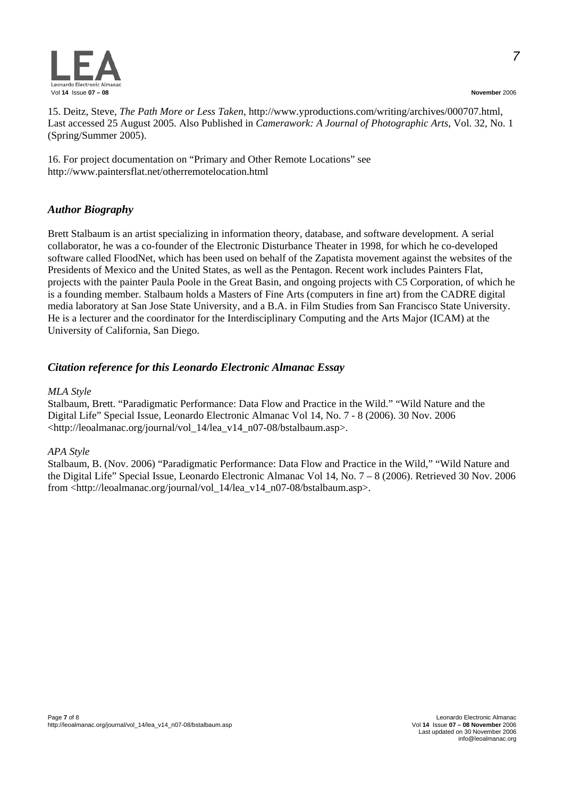

15. Deitz, Steve, *The Path More or Less Taken*, http://www.yproductions.com/writing/archives/000707.html, Last accessed 25 August 2005. Also Published in *Camerawork: A Journal of Photographic Arts*, Vol. 32, No. 1 (Spring/Summer 2005).

16. For project documentation on "Primary and Other Remote Locations" see http://www.paintersflat.net/otherremotelocation.html

## *Author Biography*

Brett Stalbaum is an artist specializing in information theory, database, and software development. A serial collaborator, he was a co-founder of the Electronic Disturbance Theater in 1998, for which he co-developed software called FloodNet, which has been used on behalf of the Zapatista movement against the websites of the Presidents of Mexico and the United States, as well as the Pentagon. Recent work includes Painters Flat, projects with the painter Paula Poole in the Great Basin, and ongoing projects with C5 Corporation, of which he is a founding member. Stalbaum holds a Masters of Fine Arts (computers in fine art) from the CADRE digital media laboratory at San Jose State University, and a B.A. in Film Studies from San Francisco State University. He is a lecturer and the coordinator for the Interdisciplinary Computing and the Arts Major (ICAM) at the University of California, San Diego.

## *Citation reference for this Leonardo Electronic Almanac Essay*

## *MLA Style*

Stalbaum, Brett. "Paradigmatic Performance: Data Flow and Practice in the Wild." "Wild Nature and the Digital Life" Special Issue, Leonardo Electronic Almanac Vol 14, No. 7 - 8 (2006). 30 Nov. 2006 <http://leoalmanac.org/journal/vol\_14/lea\_v14\_n07-08/bstalbaum.asp>.

## *APA Style*

Stalbaum, B. (Nov. 2006) "Paradigmatic Performance: Data Flow and Practice in the Wild," "Wild Nature and the Digital Life" Special Issue, Leonardo Electronic Almanac Vol 14, No. 7 – 8 (2006). Retrieved 30 Nov. 2006 from <http://leoalmanac.org/journal/vol\_14/lea\_v14\_n07-08/bstalbaum.asp>.